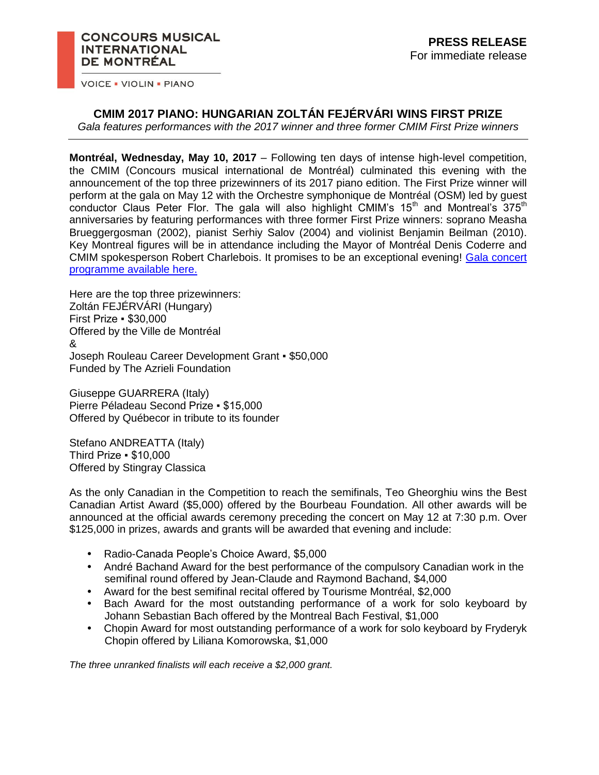## **CONCOURS MUSICAL INTERNATIONAL** DE MONTRÉAL

**VOICE . VIOLIN . PIANO** 

## **CMIM 2017 PIANO: HUNGARIAN ZOLTÁN FEJÉRVÁRI WINS FIRST PRIZE**

*Gala features performances with the 2017 winner and three former CMIM First Prize winners*

**Montréal, Wednesday, May 10, 2017** – Following ten days of intense high-level competition, the CMIM (Concours musical international de Montréal) culminated this evening with the announcement of the top three prizewinners of its 2017 piano edition. The First Prize winner will perform at the gala on May 12 with the Orchestre symphonique de Montréal (OSM) led by guest conductor Claus Peter Flor. The gala will also highlight CMIM's  $15<sup>th</sup>$  and Montreal's  $375<sup>th</sup>$ anniversaries by featuring performances with three former First Prize winners: soprano Measha Brueggergosman (2002), pianist Serhiy Salov (2004) and violinist Benjamin Beilman (2010). Key Montreal figures will be in attendance including the Mayor of Montréal Denis Coderre and CMIM spokesperson Robert Charlebois. It promises to be an exceptional evening! [Gala concert](https://concoursmontreal.ca/wp-content/uploads/2017/05/cmim_piano17-prog_concert-gala_F7_Pe%CC%80P_LOW.pdf)  [programme available here.](https://concoursmontreal.ca/wp-content/uploads/2017/05/cmim_piano17-prog_concert-gala_F7_Pe%CC%80P_LOW.pdf)

Here are the top three prizewinners: Zoltán FEJÉRVÁRI (Hungary) First Prize ▪ \$30,000 Offered by the Ville de Montréal & Joseph Rouleau Career Development Grant ▪ \$50,000 Funded by The Azrieli Foundation

Giuseppe GUARRERA (Italy) Pierre Péladeau Second Prize ▪ \$15,000 Offered by Québecor in tribute to its founder

Stefano ANDREATTA (Italy) Third Prize ▪ \$10,000 Offered by Stingray Classica

As the only Canadian in the Competition to reach the semifinals, Teo Gheorghiu wins the Best Canadian Artist Award (\$5,000) offered by the Bourbeau Foundation. All other awards will be announced at the official awards ceremony preceding the concert on May 12 at 7:30 p.m. Over \$125,000 in prizes, awards and grants will be awarded that evening and include:

- Radio-Canada People's Choice Award, \$5,000
- André Bachand Award for the best performance of the compulsory Canadian work in the semifinal round offered by Jean-Claude and Raymond Bachand, \$4,000
- Award for the best semifinal recital offered by Tourisme Montréal, \$2,000
- Bach Award for the most outstanding performance of a work for solo keyboard by Johann Sebastian Bach offered by the Montreal Bach Festival, \$1,000
- Chopin Award for most outstanding performance of a work for solo keyboard by Fryderyk Chopin offered by Liliana Komorowska, \$1,000

*The three unranked finalists will each receive a \$2,000 grant.*